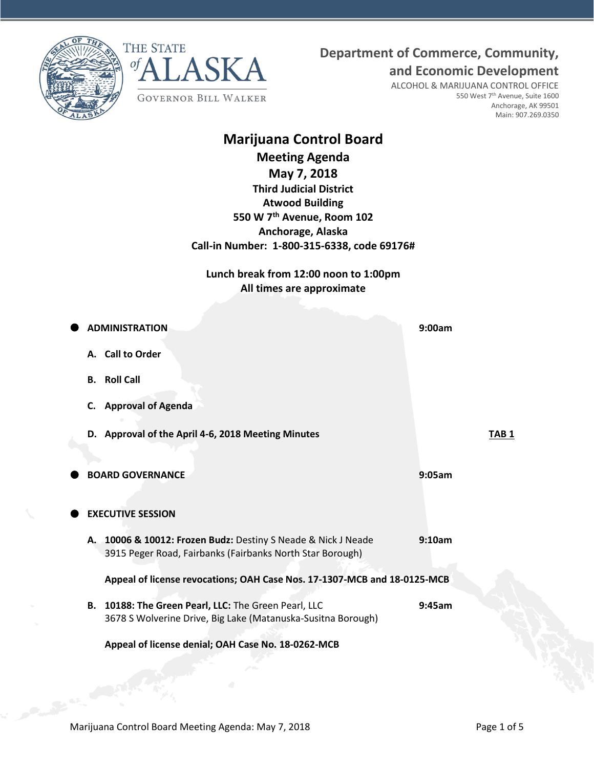**Department of Commerce, Community,**





**and Economic Development** ALCOHOL & MARIJUANA CONTROL OFFICE 550 West 7<sup>th</sup> Avenue, Suite 1600 Anchorage, AK 99501 Main: 907.269.0350

# **Marijuana Control Board**

**Meeting Agenda** 

**May 7, 2018**

**Third Judicial District Atwood Building 550 W 7th Avenue, Room 102 Anchorage, Alaska Call-in Number: 1-800-315-6338, code 69176#**

**Lunch break from 12:00 noon to 1:00pm All times are approximate**

|    | <b>ADMINISTRATION</b>                                                                                                      | 9:00am           |
|----|----------------------------------------------------------------------------------------------------------------------------|------------------|
|    | A. Call to Order                                                                                                           |                  |
| В. | <b>Roll Call</b>                                                                                                           |                  |
| C. | <b>Approval of Agenda</b>                                                                                                  |                  |
|    | D. Approval of the April 4-6, 2018 Meeting Minutes                                                                         | TAB <sub>1</sub> |
|    |                                                                                                                            |                  |
|    | <b>BOARD GOVERNANCE</b>                                                                                                    | 9:05am           |
|    |                                                                                                                            |                  |
|    | <b>EXECUTIVE SESSION</b>                                                                                                   |                  |
|    | A. 10006 & 10012: Frozen Budz: Destiny S Neade & Nick J Neade<br>3915 Peger Road, Fairbanks (Fairbanks North Star Borough) | 9:10am           |
|    | Appeal of license revocations; OAH Case Nos. 17-1307-MCB and 18-0125-MCB                                                   |                  |
|    | B. 10188: The Green Pearl, LLC: The Green Pearl, LLC<br>3678 S Wolverine Drive, Big Lake (Matanuska-Susitna Borough)       | 9:45am           |
|    | Appeal of license denial; OAH Case No. 18-0262-MCB                                                                         |                  |
|    |                                                                                                                            |                  |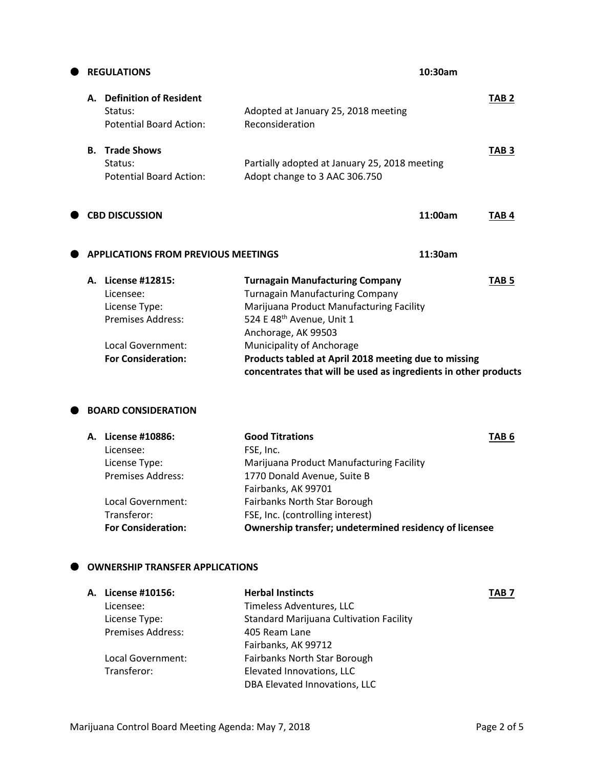|    | <b>REGULATIONS</b>                                                         |                                                                                                                                                                                  | 10:30am |                  |
|----|----------------------------------------------------------------------------|----------------------------------------------------------------------------------------------------------------------------------------------------------------------------------|---------|------------------|
| А. | <b>Definition of Resident</b><br>Status:<br><b>Potential Board Action:</b> | Adopted at January 25, 2018 meeting<br>Reconsideration                                                                                                                           |         | TAB <sub>2</sub> |
| В. | <b>Trade Shows</b><br>Status:<br><b>Potential Board Action:</b>            | Partially adopted at January 25, 2018 meeting<br>Adopt change to 3 AAC 306.750                                                                                                   |         | TAB <sub>3</sub> |
|    | <b>CBD DISCUSSION</b>                                                      |                                                                                                                                                                                  | 11:00am | TAB <sub>4</sub> |
|    | <b>APPLICATIONS FROM PREVIOUS MEETINGS</b>                                 |                                                                                                                                                                                  | 11:30am |                  |
| А. | License #12815:<br>Licensee:<br>License Type:<br><b>Premises Address:</b>  | <b>Turnagain Manufacturing Company</b><br><b>Turnagain Manufacturing Company</b><br>Marijuana Product Manufacturing Facility<br>524 E 48th Avenue, Unit 1<br>Anchorage, AK 99503 |         | TAB <sub>5</sub> |
|    | <b>Local Government:</b><br><b>For Consideration:</b>                      | Municipality of Anchorage<br>Products tabled at April 2018 meeting due to missing<br>concentrates that will be used as ingredients in other products                             |         |                  |

## **BOARD CONSIDERATION**

| А. | <b>License #10886:</b>    | <b>Good Titrations</b>                                 | TAB <sub>6</sub> |
|----|---------------------------|--------------------------------------------------------|------------------|
|    | Licensee:                 | FSE, Inc.                                              |                  |
|    | License Type:             | Marijuana Product Manufacturing Facility               |                  |
|    | <b>Premises Address:</b>  | 1770 Donald Avenue, Suite B                            |                  |
|    |                           | Fairbanks, AK 99701                                    |                  |
|    | Local Government:         | Fairbanks North Star Borough                           |                  |
|    | Transferor:               | FSE, Inc. (controlling interest)                       |                  |
|    | <b>For Consideration:</b> | Ownership transfer; undetermined residency of licensee |                  |
|    |                           |                                                        |                  |

# **OWNERSHIP TRANSFER APPLICATIONS**

| А. | License #10156:          | <b>Herbal Instincts</b>                        | TAB <sub>7</sub> |
|----|--------------------------|------------------------------------------------|------------------|
|    | Licensee:                | Timeless Adventures, LLC                       |                  |
|    | License Type:            | <b>Standard Marijuana Cultivation Facility</b> |                  |
|    | <b>Premises Address:</b> | 405 Ream Lane                                  |                  |
|    |                          | Fairbanks, AK 99712                            |                  |
|    | Local Government:        | Fairbanks North Star Borough                   |                  |
|    | Transferor:              | Elevated Innovations, LLC                      |                  |
|    |                          | DBA Elevated Innovations, LLC                  |                  |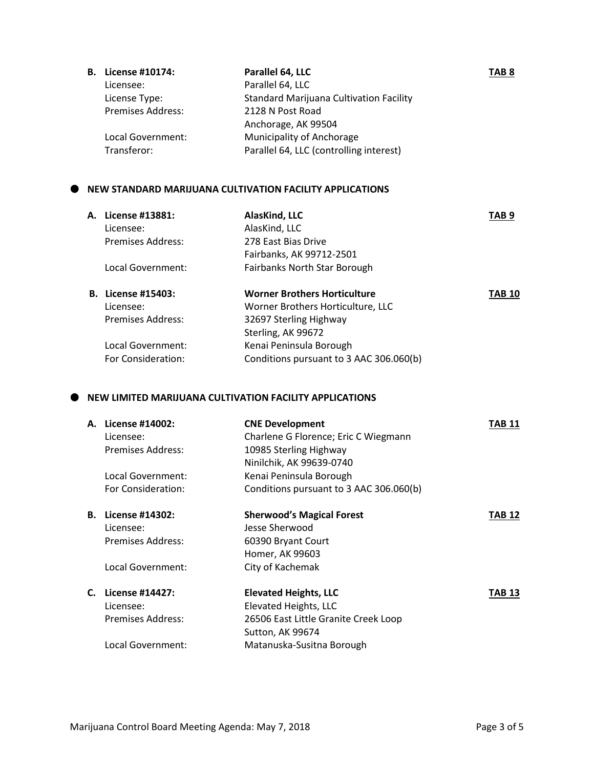| <b>B.</b> License #10174: | Parallel 64, LLC                               | TAB <sub>8</sub> |
|---------------------------|------------------------------------------------|------------------|
| Licensee:                 | Parallel 64, LLC                               |                  |
| License Type:             | <b>Standard Marijuana Cultivation Facility</b> |                  |
| <b>Premises Address:</b>  | 2128 N Post Road                               |                  |
|                           | Anchorage, AK 99504                            |                  |
| Local Government:         | <b>Municipality of Anchorage</b>               |                  |
| Transferor:               | Parallel 64, LLC (controlling interest)        |                  |

# **NEW STANDARD MARIJUANA CULTIVATION FACILITY APPLICATIONS**

| A. License #13881:        | AlasKind, LLC                           | TAB 9         |
|---------------------------|-----------------------------------------|---------------|
| Licensee:                 | AlasKind, LLC                           |               |
| Premises Address:         | 278 East Bias Drive                     |               |
|                           | Fairbanks, AK 99712-2501                |               |
| Local Government:         | Fairbanks North Star Borough            |               |
| <b>B.</b> License #15403: | <b>Worner Brothers Horticulture</b>     | <b>TAB 10</b> |
| Licensee:                 | Worner Brothers Horticulture, LLC       |               |
| <b>Premises Address:</b>  | 32697 Sterling Highway                  |               |
|                           | Sterling, AK 99672                      |               |
| Local Government:         | Kenai Peninsula Borough                 |               |
| For Consideration:        | Conditions pursuant to 3 AAC 306.060(b) |               |

#### **NEW LIMITED MARIJUANA CULTIVATION FACILITY APPLICATIONS**

| А. | License #14002:<br>Licensee:<br>Premises Address:<br>Local Government:<br>For Consideration: | <b>CNE Development</b><br>Charlene G Florence; Eric C Wiegmann<br>10985 Sterling Highway<br>Ninilchik, AK 99639-0740<br>Kenai Peninsula Borough<br>Conditions pursuant to 3 AAC 306.060(b) | TAB 11 |
|----|----------------------------------------------------------------------------------------------|--------------------------------------------------------------------------------------------------------------------------------------------------------------------------------------------|--------|
|    |                                                                                              |                                                                                                                                                                                            |        |
| В. | License #14302:                                                                              | <b>Sherwood's Magical Forest</b>                                                                                                                                                           | TAB 12 |
|    | Licensee:                                                                                    | Jesse Sherwood                                                                                                                                                                             |        |
|    | Premises Address:                                                                            | 60390 Bryant Court                                                                                                                                                                         |        |
|    |                                                                                              | Homer, AK 99603                                                                                                                                                                            |        |
|    | Local Government:                                                                            | City of Kachemak                                                                                                                                                                           |        |
| C. | License #14427:                                                                              | <b>Elevated Heights, LLC</b>                                                                                                                                                               | TAB 13 |
|    | Licensee:                                                                                    | Elevated Heights, LLC                                                                                                                                                                      |        |
|    | Premises Address:                                                                            | 26506 East Little Granite Creek Loop                                                                                                                                                       |        |
|    |                                                                                              | Sutton, AK 99674                                                                                                                                                                           |        |
|    | Local Government:                                                                            | Matanuska-Susitna Borough                                                                                                                                                                  |        |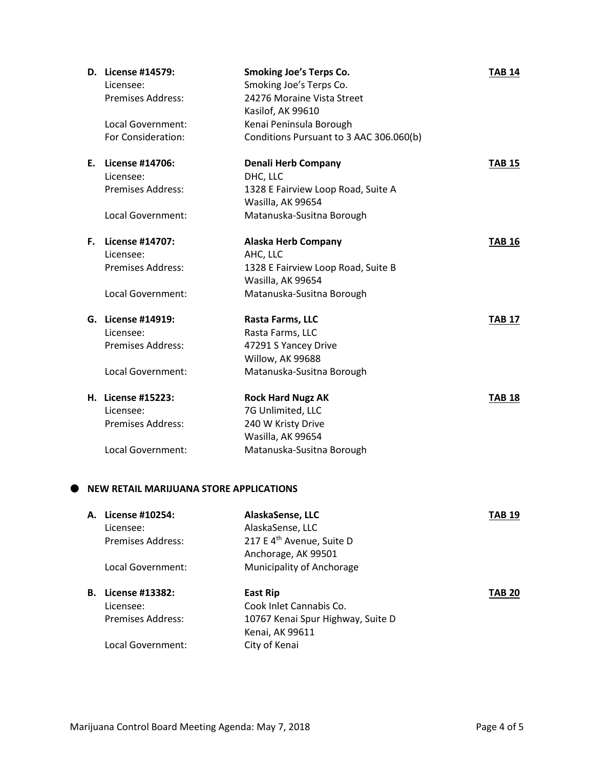|    | D. License #14579:       | <b>Smoking Joe's Terps Co.</b>          | <b>TAB 14</b> |
|----|--------------------------|-----------------------------------------|---------------|
|    | Licensee:                | Smoking Joe's Terps Co.                 |               |
|    | Premises Address:        | 24276 Moraine Vista Street              |               |
|    |                          | Kasilof, AK 99610                       |               |
|    | Local Government:        | Kenai Peninsula Borough                 |               |
|    | For Consideration:       | Conditions Pursuant to 3 AAC 306.060(b) |               |
|    | E. License #14706:       | <b>Denali Herb Company</b>              | <b>TAB 15</b> |
|    | Licensee:                | DHC, LLC                                |               |
|    | <b>Premises Address:</b> | 1328 E Fairview Loop Road, Suite A      |               |
|    |                          | Wasilla, AK 99654                       |               |
|    | <b>Local Government:</b> | Matanuska-Susitna Borough               |               |
| F. | License #14707:          | <b>Alaska Herb Company</b>              | <b>TAB 16</b> |
|    | Licensee:                | AHC, LLC                                |               |
|    | <b>Premises Address:</b> | 1328 E Fairview Loop Road, Suite B      |               |
|    |                          | Wasilla, AK 99654                       |               |
|    | Local Government:        | Matanuska-Susitna Borough               |               |
|    | G. License #14919:       | Rasta Farms, LLC                        | <b>TAB 17</b> |
|    | Licensee:                | Rasta Farms, LLC                        |               |
|    | <b>Premises Address:</b> | 47291 S Yancey Drive                    |               |
|    |                          | Willow, AK 99688                        |               |
|    | Local Government:        | Matanuska-Susitna Borough               |               |
|    | H. License #15223:       | <b>Rock Hard Nugz AK</b>                | <b>TAB 18</b> |
|    | Licensee:                | 7G Unlimited, LLC                       |               |
|    | Premises Address:        | 240 W Kristy Drive                      |               |
|    |                          | Wasilla, AK 99654                       |               |
|    | Local Government:        | Matanuska-Susitna Borough               |               |

|    | A. License #10254: | AlaskaSense, LLC                      | TAB 19        |
|----|--------------------|---------------------------------------|---------------|
|    | Licensee:          | AlaskaSense, LLC                      |               |
|    | Premises Address:  | 217 E 4 <sup>th</sup> Avenue, Suite D |               |
|    |                    | Anchorage, AK 99501                   |               |
|    | Local Government:  | Municipality of Anchorage             |               |
| В. | License #13382:    | East Rip                              | <b>TAB 20</b> |
|    |                    |                                       |               |
|    | Licensee:          | Cook Inlet Cannabis Co.               |               |
|    | Premises Address:  | 10767 Kenai Spur Highway, Suite D     |               |
|    |                    | Kenai, AK 99611                       |               |
|    | Local Government:  | City of Kenai                         |               |